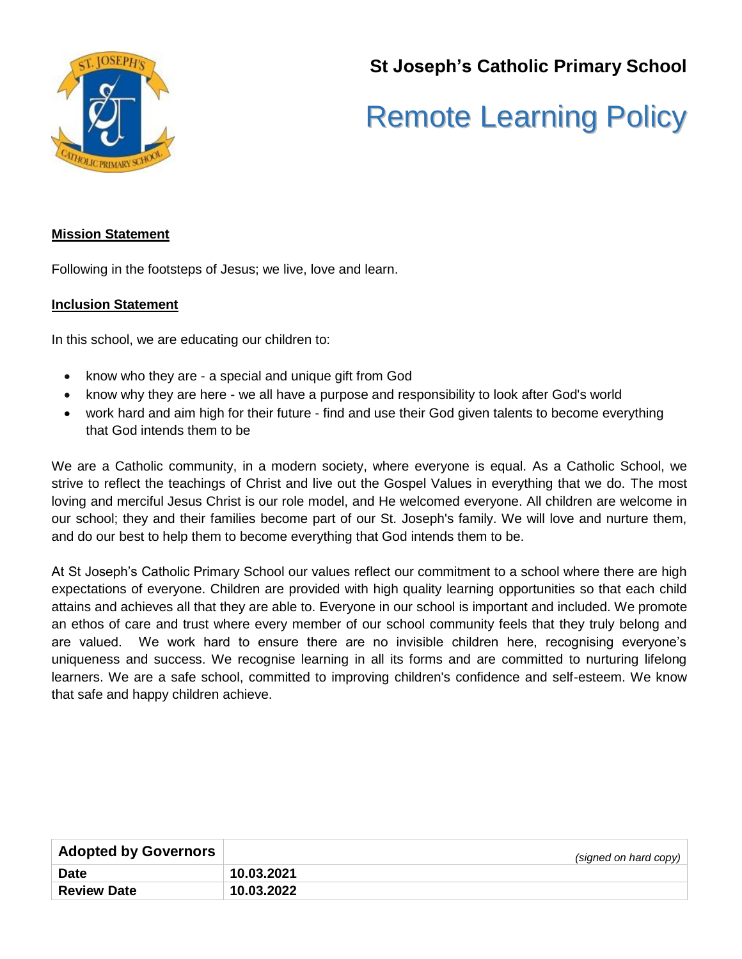

**St Joseph's Catholic Primary School**

# Remote Learning Policy

#### **Mission Statement**

Following in the footsteps of Jesus; we live, love and learn.

#### **Inclusion Statement**

In this school, we are educating our children to:

- know who they are a special and unique gift from God
- know why they are here we all have a purpose and responsibility to look after God's world
- work hard and aim high for their future find and use their God given talents to become everything that God intends them to be

We are a Catholic community, in a modern society, where everyone is equal. As a Catholic School, we strive to reflect the teachings of Christ and live out the Gospel Values in everything that we do. The most loving and merciful Jesus Christ is our role model, and He welcomed everyone. All children are welcome in our school; they and their families become part of our St. Joseph's family. We will love and nurture them, and do our best to help them to become everything that God intends them to be.

At St Joseph's Catholic Primary School our values reflect our commitment to a school where there are high expectations of everyone. Children are provided with high quality learning opportunities so that each child attains and achieves all that they are able to. Everyone in our school is important and included. We promote an ethos of care and trust where every member of our school community feels that they truly belong and are valued. We work hard to ensure there are no invisible children here, recognising everyone's uniqueness and success. We recognise learning in all its forms and are committed to nurturing lifelong learners. We are a safe school, committed to improving children's confidence and self-esteem. We know that safe and happy children achieve.

| <b>Adopted by Governors</b> | (signed on hard copy) |
|-----------------------------|-----------------------|
| <b>Date</b>                 | 10.03.2021            |
| <b>Review Date</b>          | 10.03.2022            |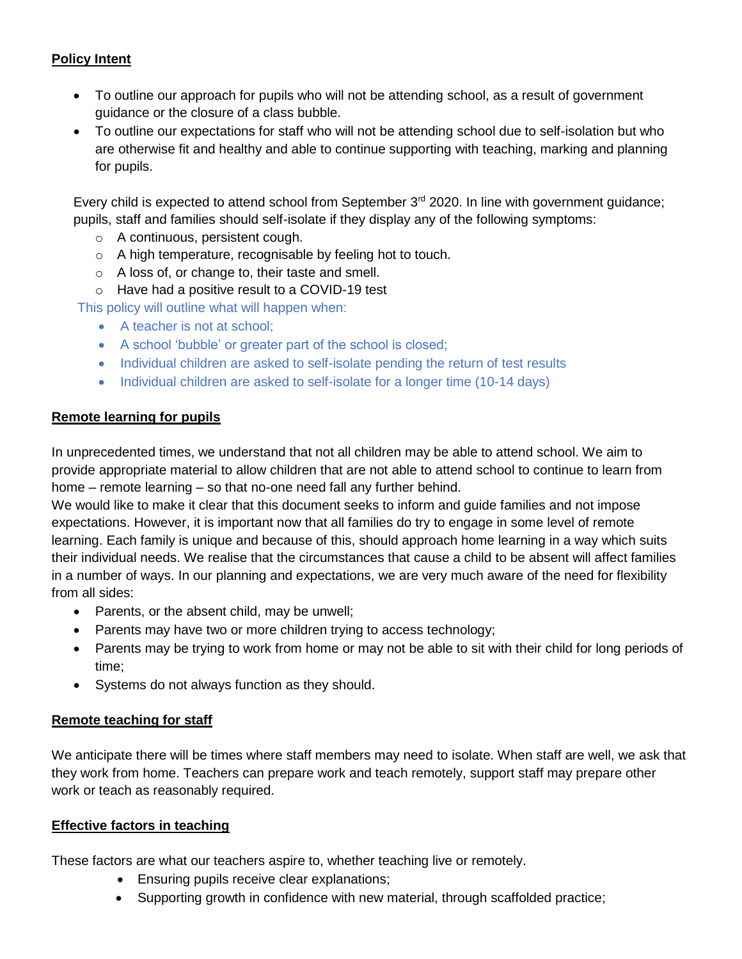## **Policy Intent**

- To outline our approach for pupils who will not be attending school, as a result of government guidance or the closure of a class bubble.
- To outline our expectations for staff who will not be attending school due to self-isolation but who are otherwise fit and healthy and able to continue supporting with teaching, marking and planning for pupils.

Every child is expected to attend school from September 3<sup>rd</sup> 2020. In line with government guidance; pupils, staff and families should self-isolate if they display any of the following symptoms:

- o A continuous, persistent cough.
- o A high temperature, recognisable by feeling hot to touch.
- o A loss of, or change to, their taste and smell.
- o Have had a positive result to a COVID-19 test

This policy will outline what will happen when:

- A teacher is not at school;
- A school 'bubble' or greater part of the school is closed;
- Individual children are asked to self-isolate pending the return of test results
- Individual children are asked to self-isolate for a longer time (10-14 days)

## **Remote learning for pupils**

In unprecedented times, we understand that not all children may be able to attend school. We aim to provide appropriate material to allow children that are not able to attend school to continue to learn from home – remote learning – so that no-one need fall any further behind.

We would like to make it clear that this document seeks to inform and guide families and not impose expectations. However, it is important now that all families do try to engage in some level of remote learning. Each family is unique and because of this, should approach home learning in a way which suits their individual needs. We realise that the circumstances that cause a child to be absent will affect families in a number of ways. In our planning and expectations, we are very much aware of the need for flexibility from all sides:

- Parents, or the absent child, may be unwell;
- Parents may have two or more children trying to access technology;
- Parents may be trying to work from home or may not be able to sit with their child for long periods of time;
- Systems do not always function as they should.

## **Remote teaching for staff**

We anticipate there will be times where staff members may need to isolate. When staff are well, we ask that they work from home. Teachers can prepare work and teach remotely, support staff may prepare other work or teach as reasonably required.

## **Effective factors in teaching**

These factors are what our teachers aspire to, whether teaching live or remotely.

- **Ensuring pupils receive clear explanations;**
- Supporting growth in confidence with new material, through scaffolded practice;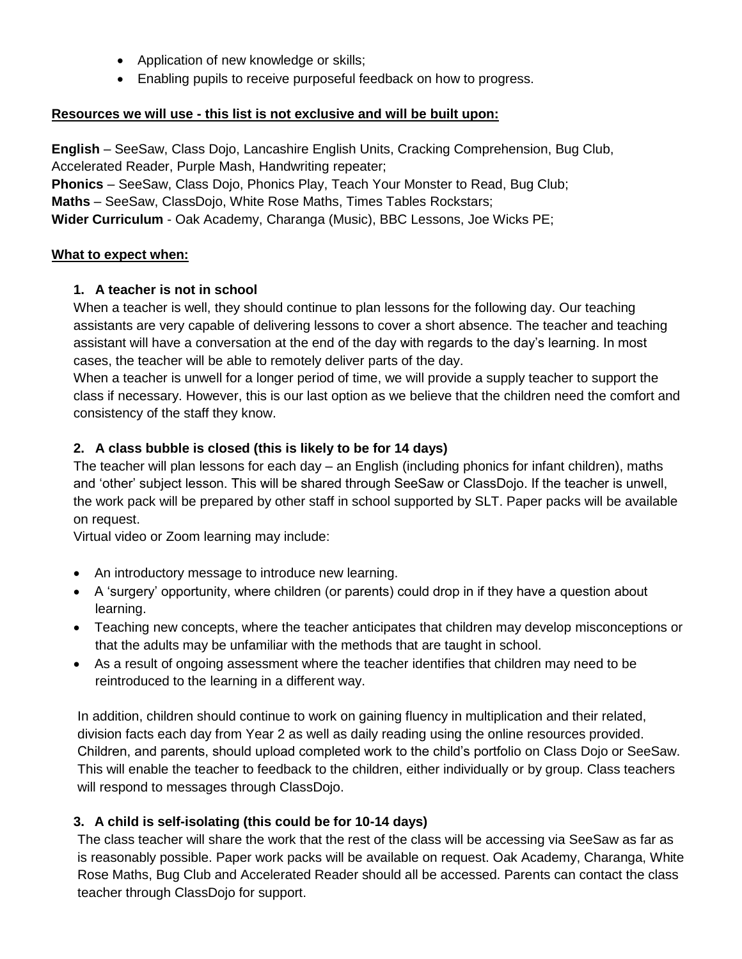- Application of new knowledge or skills;
- Enabling pupils to receive purposeful feedback on how to progress.

## **Resources we will use - this list is not exclusive and will be built upon:**

**English** – SeeSaw, Class Dojo, Lancashire English Units, Cracking Comprehension, Bug Club, Accelerated Reader, Purple Mash, Handwriting repeater;

**Phonics** – SeeSaw, Class Dojo, Phonics Play, Teach Your Monster to Read, Bug Club; **Maths** – SeeSaw, ClassDojo, White Rose Maths, Times Tables Rockstars;

**Wider Curriculum** - Oak Academy, Charanga (Music), BBC Lessons, Joe Wicks PE;

#### **What to expect when:**

#### **1. A teacher is not in school**

When a teacher is well, they should continue to plan lessons for the following day. Our teaching assistants are very capable of delivering lessons to cover a short absence. The teacher and teaching assistant will have a conversation at the end of the day with regards to the day's learning. In most cases, the teacher will be able to remotely deliver parts of the day.

When a teacher is unwell for a longer period of time, we will provide a supply teacher to support the class if necessary. However, this is our last option as we believe that the children need the comfort and consistency of the staff they know.

## **2. A class bubble is closed (this is likely to be for 14 days)**

The teacher will plan lessons for each day – an English (including phonics for infant children), maths and 'other' subject lesson. This will be shared through SeeSaw or ClassDojo. If the teacher is unwell, the work pack will be prepared by other staff in school supported by SLT. Paper packs will be available on request.

Virtual video or Zoom learning may include:

- An introductory message to introduce new learning.
- A 'surgery' opportunity, where children (or parents) could drop in if they have a question about learning.
- Teaching new concepts, where the teacher anticipates that children may develop misconceptions or that the adults may be unfamiliar with the methods that are taught in school.
- As a result of ongoing assessment where the teacher identifies that children may need to be reintroduced to the learning in a different way.

In addition, children should continue to work on gaining fluency in multiplication and their related, division facts each day from Year 2 as well as daily reading using the online resources provided. Children, and parents, should upload completed work to the child's portfolio on Class Dojo or SeeSaw. This will enable the teacher to feedback to the children, either individually or by group. Class teachers will respond to messages through ClassDojo.

## **3. A child is self-isolating (this could be for 10-14 days)**

The class teacher will share the work that the rest of the class will be accessing via SeeSaw as far as is reasonably possible. Paper work packs will be available on request. Oak Academy, Charanga, White Rose Maths, Bug Club and Accelerated Reader should all be accessed. Parents can contact the class teacher through ClassDojo for support.